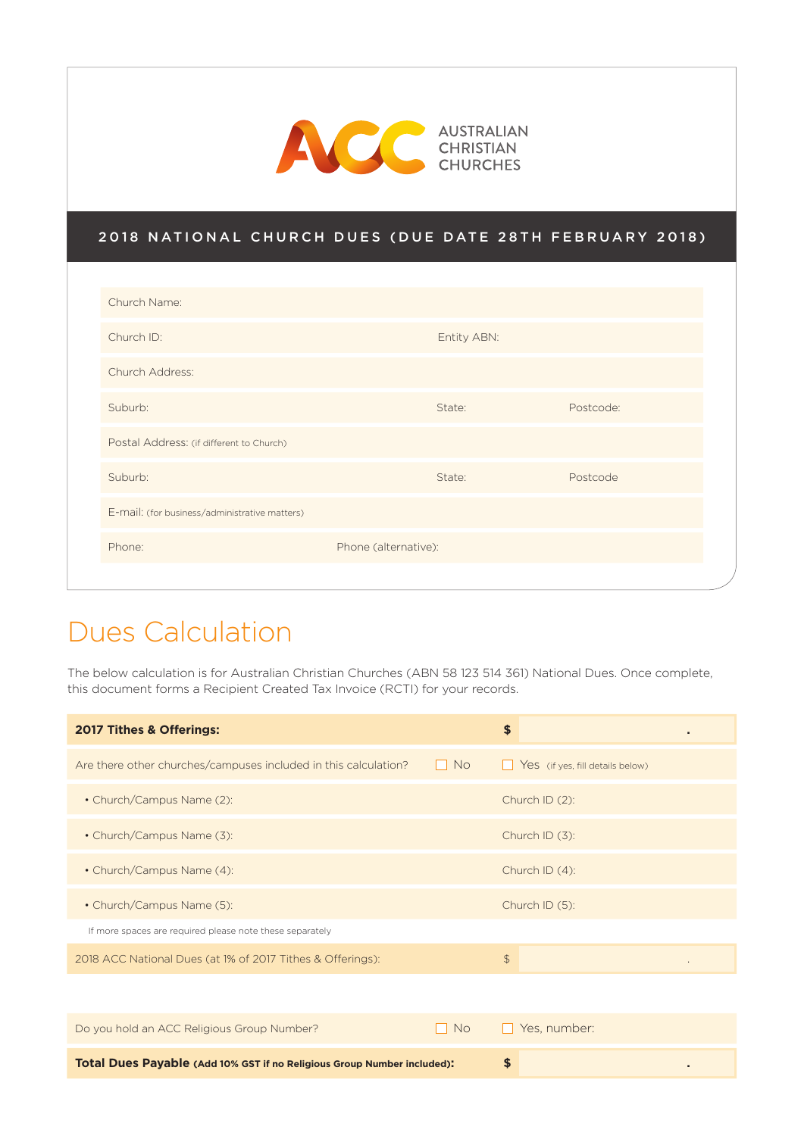

#### 2018 NATIONAL CHURCH DUES (DUE DATE 28TH FEBRUARY 2018)

| Church Name:                                  |                      |           |  |
|-----------------------------------------------|----------------------|-----------|--|
| Church ID:                                    | Entity ABN:          |           |  |
| Church Address:                               |                      |           |  |
| Suburb:                                       | State:               | Postcode: |  |
| Postal Address: (if different to Church)      |                      |           |  |
| Suburb:                                       | State:               | Postcode  |  |
| E-mail: (for business/administrative matters) |                      |           |  |
| Phone:                                        | Phone (alternative): |           |  |
|                                               |                      |           |  |

### Dues Calculation

The below calculation is for Australian Christian Churches (ABN 58 123 514 361) National Dues. Once complete, this document forms a Recipient Created Tax Invoice (RCTI) for your records.

| 2017 Tithes & Offerings:                                        |            | \$<br>٠                                 |
|-----------------------------------------------------------------|------------|-----------------------------------------|
| Are there other churches/campuses included in this calculation? | No.<br>. . | Yes (if yes, fill details below)<br>. . |
| • Church/Campus Name (2):                                       |            | Church ID (2):                          |
| • Church/Campus Name (3):                                       |            | Church ID $(3)$ :                       |
| • Church/Campus Name (4):                                       |            | Church ID $(4)$ :                       |
| • Church/Campus Name (5):                                       |            | Church ID (5):                          |
| If more spaces are required please note these separately        |            |                                         |
| 2018 ACC National Dues (at 1% of 2017 Tithes & Offerings):      |            | $\frac{1}{2}$                           |
|                                                                 |            |                                         |

| Do you hold an ACC Religious Group Number?                              | , No | l Yes number: |  |
|-------------------------------------------------------------------------|------|---------------|--|
|                                                                         |      |               |  |
| Total Dues Payable (Add 10% GST if no Religious Group Number included): |      |               |  |